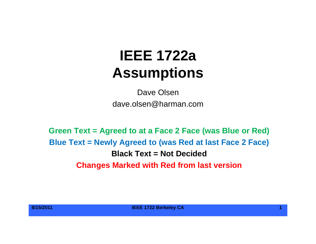# **IEEE 1722aAssumptions**

Dave Olsendave.olsen@harman.com

**Green Text = Agreed to at a Face 2 Face (was Blue or Red) Blue Text = Newly Agreed to (was Red at last Face 2 Face) Black Text = Not DecidedChanges Marked with Red from last version**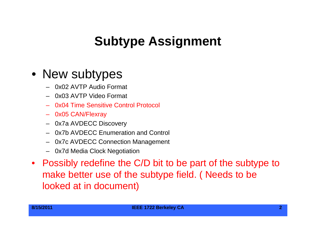# **Subtype Assignment Assignment**

### • New subtypes

- 0x02 AVTP Audio Format
- 0x03 AVTP Video Format
- 0x04 Time Sensitive Control Protocol
- 0x05 CAN/Flexray
- 0x7a AVDECC Discovery
- 0x7b AVDECC Enumeration and Control
- 0x7c AVDECC Connection Management
- 0x7d Media Clock Negotiation
- Possibly redefine the C/D bit to be part of the subtype to make better use of the subtype field. ( Needs to be looked at in document)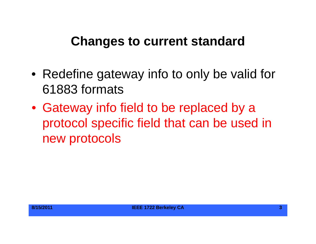### **Changes to current standard**

- Redefine gateway info to only be valid for 61883 formats
- Gateway info field to be replaced by a protocol specific field that can be used in new protocols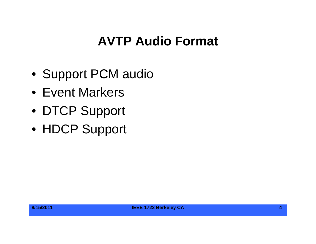# **AVTP Audio Format**

- Support PCM audio
- Event Markers
- DTCP Support
- HDCP Support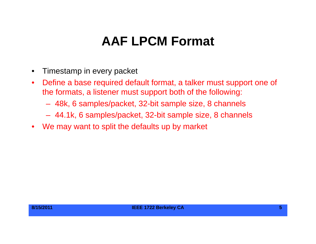# **AAF LPCM Format**

- $\bullet$ Timestamp in every packet
- $\bullet$  Define a base required default format, a talker must support one of the formats, a listener must support both of the following:
	- 48k, 6 samples/packet, 32-bit sample size, 8 channels
	- 44.1k, 6 samples/packet, 32-bit sample size, 8 channels
- $\bullet$ We may want to split the defaults up by market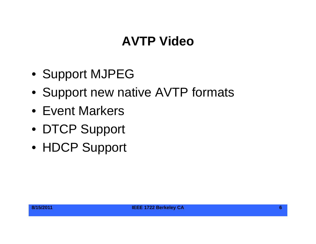# **AVTP Video**

- Support MJPEG
- Support new native AVTP formats
- Event Markers
- DTCP Support
- HDCP Support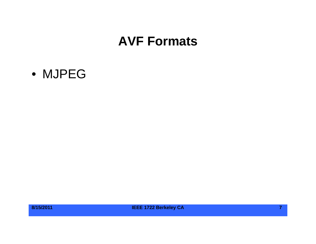#### **AVF Formats**

#### • MJPEG



**8/15/2011 IEEE 1722 Berkeley CA 7**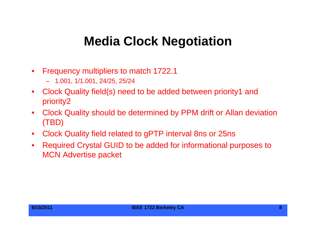## **Media Clock Negotiation**

- $\bullet$  Frequency multipliers to match 1722.1
	- 1.001, 1/1.001, 24/25, 25/24
- $\bullet$  Clock Quality field(s) need to be added between priority1 and priority2
- $\bullet$  Clock Quality should be determined by PPM drift or Allan deviation (TBD)
- $\bullet$ Clock Qualit y field related to gPTP interval 8ns or 25ns
- $\bullet$  Required Crystal GUID to be added for informational purposes to MCN Advertise packet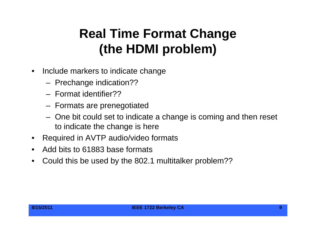# **Real Time Format Change (th HDMI bl ) (the HDMI problem**

- $\bullet$  Include markers to indicate change
	- Prechange indication??
	- Format identifier??
	- Formats are prenegotiated
	- One bit could set to indicate a change is coming and then reset to indicate the change is here
- •Required in AVTP audio/video formats
- $\bullet$ Add bits to 61883 base formats
- •Could this be used by the 802.1 multitalker problem??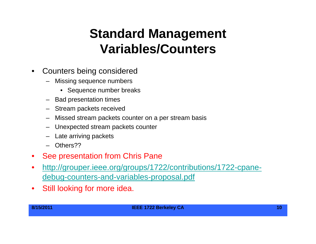# **Standard Management V i bl /C t Variables/Counters**

- $\bullet$  Counters being considered
	- Missing sequence numbers
		- Sequence number breaks
	- Bad presentation times
	- Stream packets received
	- Missed stream packets counter on a per stream basis
	- Unexpected stream packets counter
	- Late arriving packets
	- Others??
- $\bullet$ See presentation from Chris Pane
- $\bullet$ • <u>http://grouper.ieee.org/groups/1722/contributions/1722-cpane-</u> debug-counters-and-variables-proposal.pdf
- $\bullet$ Still looking for more idea.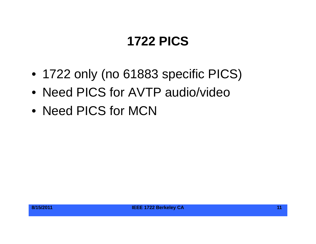# **1722 PICS**

- 1722 only (no 61883 specific PICS)
- Need PICS for AVTP audio/video
- Need PICS for MCN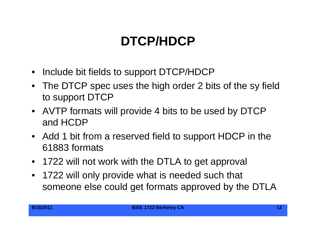# **DTCP/HDCP**

- Include bit fields to support DTCP/HDCP
- The DTCP spec uses the high order 2 bits of the sy field to support DTCP
- AVTP formats will provide 4 bits to be used by DTCP and HCDP
- Add 1 bit from <sup>a</sup> reserved field to support HDCP in the 61883 formats
- 1722 will not work with the DTLA to get approval
- $\bullet$  1722 will only provide what is needed such that someone else could get formats approved by the DTLA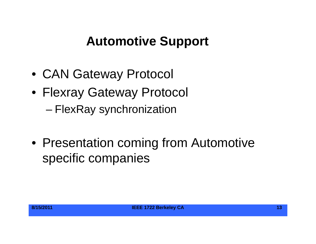# **Automotive Support**

- CAN Gateway Protocol
- Flexray Gateway Protocol – FlexRay synchronization
- Presentation coming from Automotive specific companies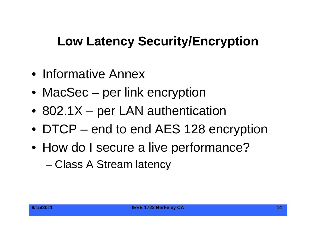# **Low Latency Security/Encryption**

- Informative Annex
- MacSec per link encryption
- 802.1X per LAN authentication
- DTCP end to end AES 128 encryption
- How do I secure a live performance?

–Class A Stream latency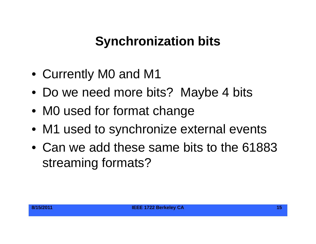# **Synchronization bits**

- Currently M0 and M1
- Do we need more bits? Maybe 4 bits
- M0 used for format change
- M1 used to synchronize external events
- Can we add these same bits to the 61883 streamin g formats?